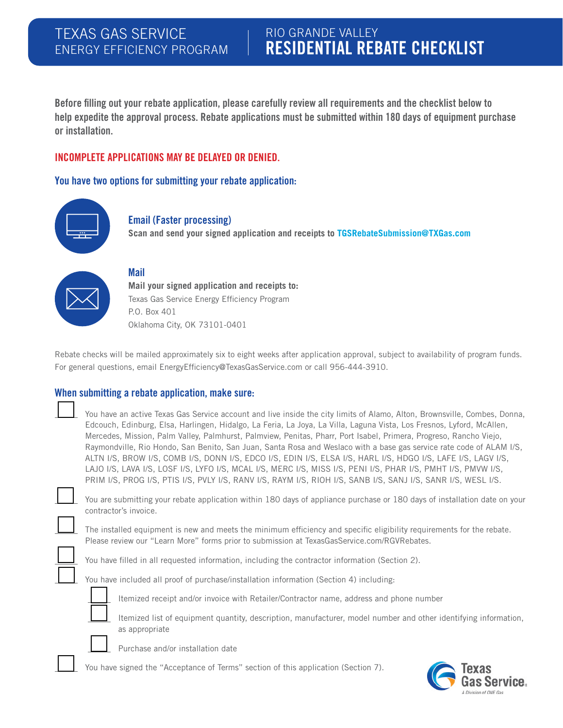### TEXAS GAS SERVICE ENERGY EFFICIENCY PROGRAM

# RIO GRANDE VALLEY RESIDENTIAL REBATE CHECKLIST

Before filling out your rebate application, please carefully review all requirements and the checklist below to help expedite the approval process. Rebate applications must be submitted within 180 days of equipment purchase or installation.

### INCOMPLETE APPLICATIONS MAY BE DELAYED OR DENIED.

You have two options for submitting your rebate application:



### Email (Faster processing)

**Scan and send your signed application and receipts to TGSRebateSubmission@TXGas.com**



### Mail

**Mail your signed application and receipts to:**  Texas Gas Service Energy Efficiency Program P.O. Box 401 Oklahoma City, OK 73101-0401

Rebate checks will be mailed approximately six to eight weeks after application approval, subject to availability of program funds. For general questions, email EnergyEfficiency@TexasGasService.com or call 956-444-3910.

### When submitting a rebate application, make sure:

| You have an active Texas Gas Service account and live inside the city limits of Alamo, Alton, Brownsville, Combes, Donna, |
|---------------------------------------------------------------------------------------------------------------------------|
| Edcouch, Edinburg, Elsa, Harlingen, Hidalgo, La Feria, La Joya, La Villa, Laguna Vista, Los Fresnos, Lyford, McAllen,     |
| Mercedes, Mission, Palm Valley, Palmhurst, Palmview, Penitas, Pharr, Port Isabel, Primera, Progreso, Rancho Viejo,        |
| Raymondville, Rio Hondo, San Benito, San Juan, Santa Rosa and Weslaco with a base gas service rate code of ALAM I/S,      |
| ALTN I/S, BROW I/S, COMB I/S, DONN I/S, EDCO I/S, EDIN I/S, ELSA I/S, HARL I/S, HDGO I/S, LAFE I/S, LAGV I/S,             |
| LAJO I/S, LAVA I/S, LOSF I/S, LYFO I/S, MCAL I/S, MERC I/S, MISS I/S, PENI I/S, PHAR I/S, PMHT I/S, PMVW I/S,             |
| PRIM I/S, PROG I/S, PTIS I/S, PVLY I/S, RANV I/S, RAYM I/S, RIOH I/S, SANB I/S, SANJ I/S, SANR I/S, WESL I/S.             |



 You are submitting your rebate application within 180 days of appliance purchase or 180 days of installation date on your contractor's invoice.

 The installed equipment is new and meets the minimum efficiency and specific eligibility requirements for the rebate. Please review our "Learn More" forms prior to submission at TexasGasService.com/RGVRebates.

You have filled in all requested information, including the contractor information (Section 2).

You have included all proof of purchase/installation information (Section 4) including:



Itemized receipt and/or invoice with Retailer/Contractor name, address and phone number

 Itemized list of equipment quantity, description, manufacturer, model number and other identifying information, as appropriate



Purchase and/or installation date

You have signed the "Acceptance of Terms" section of this application (Section 7).

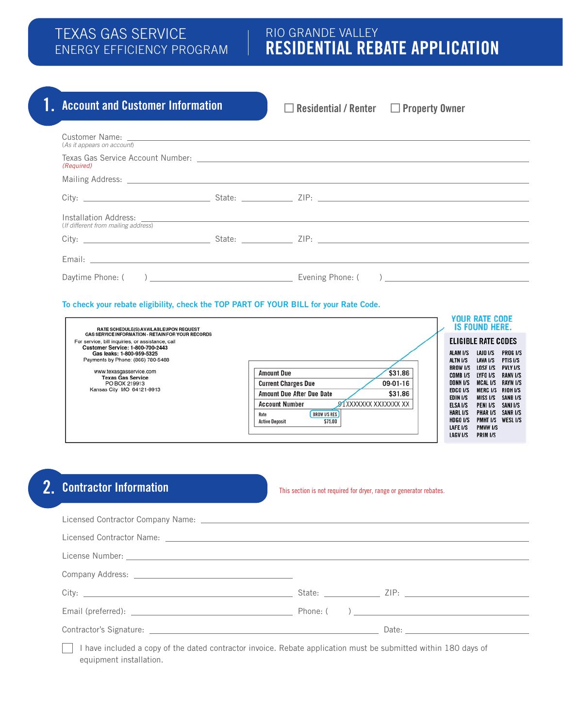### TEXAS GAS SERVICE ENERGY EFFICIENCY PROGRAM

## RIO GRANDE VALLEY RESIDENTIAL REBATE APPLICATION

# 1. Account and Customer Information **Residential / Renter Converty Owner**

| (As it appears on account)          |  |  |  |  |
|-------------------------------------|--|--|--|--|
| (Required)                          |  |  |  |  |
|                                     |  |  |  |  |
|                                     |  |  |  |  |
|                                     |  |  |  |  |
| (If different from mailing address) |  |  |  |  |
|                                     |  |  |  |  |
|                                     |  |  |  |  |
|                                     |  |  |  |  |
|                                     |  |  |  |  |

### To check your rebate eligibility, check the TOP PART OF YOUR BILL for your Rate Code.

| RATE SCHEDULE(S) AVAILABLEUPON REQUEST                                                                                                                                                                                                                                                                                                                                                                                                                                                                                                                                                                                                                                                                                                                                           | <b>YOUR RATE CODE</b><br><b>IS FOUND HERE.</b>                                                                                                                                                                                             |                                                                                                                                     |
|----------------------------------------------------------------------------------------------------------------------------------------------------------------------------------------------------------------------------------------------------------------------------------------------------------------------------------------------------------------------------------------------------------------------------------------------------------------------------------------------------------------------------------------------------------------------------------------------------------------------------------------------------------------------------------------------------------------------------------------------------------------------------------|--------------------------------------------------------------------------------------------------------------------------------------------------------------------------------------------------------------------------------------------|-------------------------------------------------------------------------------------------------------------------------------------|
| <b>GAS SERVICE INFORMATION - RETAIN FOR YOUR RECORDS</b><br>For service, bill inquiries, or assistance, call<br><b>Customer Service: 1-800-700-2443</b><br><b>ALAM I/S</b><br>Gas leaks: 1-800-959-5325<br>Payments by Phone: (866) 780-5488<br>ALTN I/S<br><b>BROW I/S</b><br>www.texasgasservice.com<br>\$31.86<br><b>Amount Due</b><br>COMB <sub>I/S</sub><br><b>Texas Gas Service</b><br><b>DONN I/S</b><br>09-01-16<br><b>Current Charges Due</b><br>PO BOX 219913<br>Kansas City MO 64121-9913<br><b>EDCO I/S</b><br>\$31.86<br><b>Amount Due After Due Date</b><br>EDIN I/S<br>91XXXXXXX XXXXXXX XX<br><b>Account Number</b><br>ELSA I/S<br><b>HARL I/S</b><br><b>BROW I/S RES</b><br>Rate<br><b>HDGO I/S</b><br>\$75.00<br><b>Active Deposit</b><br>LAFE I/S<br>LAGV I/S | <b>ELIGIBLE RATE CODES</b><br><b>LAJO I/S</b><br>LAVA I/S<br>LOSF I/S<br>LYFO I/S<br><b>MCAL I/S</b><br>MERC I/S RIOH I/S<br><b>MISS I/S</b><br>PENI I/S<br><b>PHAR I/S</b><br>PMHT I/S WESL I/S<br><b>PMVW I/S</b><br>PRIM <sub>I/S</sub> | <b>PROG I/S</b><br>PTIS I/S<br><b>PVLY I/S</b><br><b>RANV I/S</b><br><b>RAYM I/S</b><br>SANB <sub>I/S</sub><br>SANJ I/S<br>SANR I/S |

# 2. Contractor Information

#### This section is not required for dryer, range or generator rebates.

| I have included a copy of the dated contractor invoice. Rebate application must be submitted within 180 days of |  |  |  |
|-----------------------------------------------------------------------------------------------------------------|--|--|--|

equipment installation.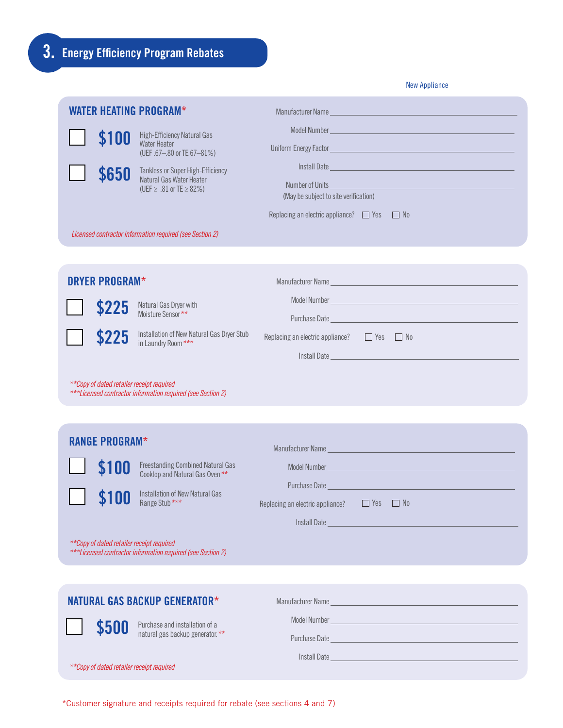|                                           |                                                                                          | <b>New Appliance</b>                                                                                                                                                                                                                 |
|-------------------------------------------|------------------------------------------------------------------------------------------|--------------------------------------------------------------------------------------------------------------------------------------------------------------------------------------------------------------------------------------|
|                                           | <b>WATER HEATING PROGRAM*</b>                                                            |                                                                                                                                                                                                                                      |
| \$100                                     | High-Efficiency Natural Gas<br><b>Water Heater</b><br>(UEF .67-.80 or TE 67-81%)         | Model Number <u>and the contract of the contract of the contract of the contract of the contract of the contract of the contract of the contract of the contract of the contract of the contract of the contract of the contract</u> |
| \$650                                     | Tankless or Super High-Efficiency<br>Natural Gas Water Heater<br>(UEF ≥ .81 or TE ≥ 82%) | Install Date<br>Number of Units<br><u> 1989 - Johann Stein, marwolaethau (b. 1989)</u><br>(May be subject to site verification)                                                                                                      |
|                                           | Licensed contractor information required (see Section 2)                                 | Replacing an electric appliance? □ Yes □ No                                                                                                                                                                                          |
|                                           |                                                                                          |                                                                                                                                                                                                                                      |
| <b>DRYER PROGRAM*</b>                     |                                                                                          | Manufacturer Name                                                                                                                                                                                                                    |
| \$225                                     | Natural Gas Dryer with<br>Moisture Sensor**                                              |                                                                                                                                                                                                                                      |
| \$225                                     | Installation of New Natural Gas Dryer Stub                                               | Purchase Date <u>Purchase Date</u><br>Replacing an electric appliance? $\Box$ Yes $\Box$ No                                                                                                                                          |
|                                           | in Laundry Room ***                                                                      | <u> 1990 - Johann Barbara, martxa a</u><br>Install Date                                                                                                                                                                              |
| **Copy of dated retailer receipt required | ***Licensed contractor information required (see Section 2)                              |                                                                                                                                                                                                                                      |
| <b>RANGE PROGRAM*</b>                     |                                                                                          | Manufacturer Name                                                                                                                                                                                                                    |
| \$100                                     | <b>Freestanding Combined Natural Gas</b><br>Cooktop and Natural Gas Oven**               | Model Number <u>Communication and Communication and Communication</u>                                                                                                                                                                |
| <b>AINN</b>                               | <b>t100</b> Installation of New Natural Gas                                              | Purchase Date and the contract of the contract of the contract of the contract of                                                                                                                                                    |
|                                           | Range Stub***                                                                            | Replacing an electric appliance?<br>$\Box$ Yes $\Box$ No                                                                                                                                                                             |
| **Copy of dated retailer receipt required | ***Licensed contractor information required (see Section 2)                              |                                                                                                                                                                                                                                      |
|                                           |                                                                                          |                                                                                                                                                                                                                                      |
|                                           | <b>NATURAL GAS BACKUP GENERATOR*</b>                                                     | Manufacturer Name<br><u> 1990 - Johann Barbara, martxa alemaniar a</u>                                                                                                                                                               |
| \$500                                     | Purchase and installation of a<br>natural gas backup generator.**                        |                                                                                                                                                                                                                                      |
| **Copy of dated retailer receipt required |                                                                                          | Purchase Date<br><u> 1989 - Johann Barn, mars eta bainar eta idazlea (h. 1989).</u>                                                                                                                                                  |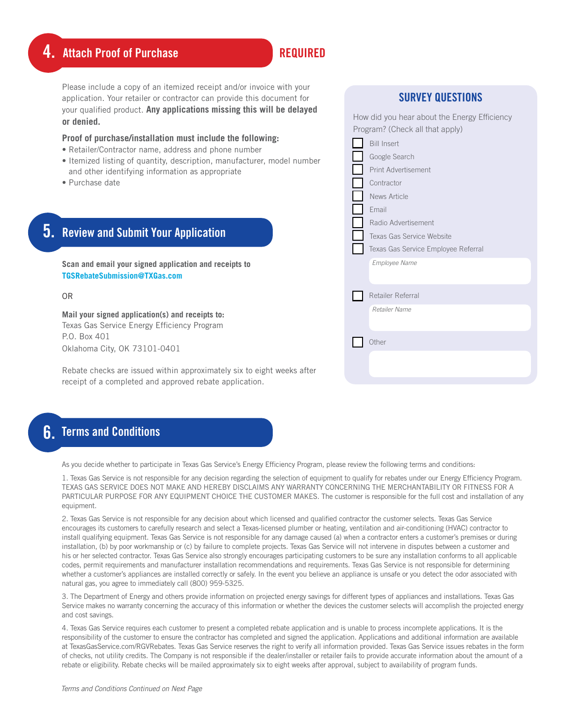## **4. Attach Proof of Purchase Representive REQUIRED**

Please include a copy of an itemized receipt and/or invoice with your application. Your retailer or contractor can provide this document for your qualified product. **Any applications missing this will be delayed or denied.**

#### **Proof of purchase/installation must include the following:**

- Retailer/Contractor name, address and phone number
- Itemized listing of quantity, description, manufacturer, model number and other identifying information as appropriate
- Purchase date

# 5. Review and Submit Your Application

**Scan and email your signed application and receipts to TGSRebateSubmission@TXGas.com**

OR

**Mail your signed application(s) and receipts to:**  Texas Gas Service Energy Efficiency Program P.O. Box 401 Oklahoma City, OK 73101-0401

Rebate checks are issued within approximately six to eight weeks after receipt of a completed and approved rebate application.

### **6.** Terms and Conditions

As you decide whether to participate in Texas Gas Service's Energy Efficiency Program, please review the following terms and conditions:

1. Texas Gas Service is not responsible for any decision regarding the selection of equipment to qualify for rebates under our Energy Efficiency Program. TEXAS GAS SERVICE DOES NOT MAKE AND HEREBY DISCLAIMS ANY WARRANTY CONCERNING THE MERCHANTABILITY OR FITNESS FOR A PARTICULAR PURPOSE FOR ANY EQUIPMENT CHOICE THE CUSTOMER MAKES. The customer is responsible for the full cost and installation of any equipment.

2. Texas Gas Service is not responsible for any decision about which licensed and qualified contractor the customer selects. Texas Gas Service encourages its customers to carefully research and select a Texas-licensed plumber or heating, ventilation and air-conditioning (HVAC) contractor to install qualifying equipment. Texas Gas Service is not responsible for any damage caused (a) when a contractor enters a customer's premises or during installation, (b) by poor workmanship or (c) by failure to complete projects. Texas Gas Service will not intervene in disputes between a customer and his or her selected contractor. Texas Gas Service also strongly encourages participating customers to be sure any installation conforms to all applicable codes, permit requirements and manufacturer installation recommendations and requirements. Texas Gas Service is not responsible for determining whether a customer's appliances are installed correctly or safely. In the event you believe an appliance is unsafe or you detect the odor associated with natural gas, you agree to immediately call (800) 959-5325.

3. The Department of Energy and others provide information on projected energy savings for different types of appliances and installations. Texas Gas Service makes no warranty concerning the accuracy of this information or whether the devices the customer selects will accomplish the projected energy and cost savings.

4. Texas Gas Service requires each customer to present a completed rebate application and is unable to process incomplete applications. It is the responsibility of the customer to ensure the contractor has completed and signed the application. Applications and additional information are available at TexasGasService.com/RGVRebates. Texas Gas Service reserves the right to verify all information provided. Texas Gas Service issues rebates in the form of checks, not utility credits. The Company is not responsible if the dealer/installer or retailer fails to provide accurate information about the amount of a rebate or eligibility. Rebate checks will be mailed approximately six to eight weeks after approval, subject to availability of program funds.

| How did you hear about the Energy Efficiency<br>Program? (Check all that apply) |  |  |
|---------------------------------------------------------------------------------|--|--|
| <b>Bill Insert</b>                                                              |  |  |
| Google Search                                                                   |  |  |
| Print Advertisement                                                             |  |  |
| Contractor                                                                      |  |  |
| News Article                                                                    |  |  |
| Email                                                                           |  |  |
| Radio Advertisement                                                             |  |  |
| Texas Gas Service Website                                                       |  |  |
| Texas Gas Service Employee Referral                                             |  |  |
| <b>Employee Name</b>                                                            |  |  |
|                                                                                 |  |  |
| Retailer Referral                                                               |  |  |
| Retailer Name                                                                   |  |  |
|                                                                                 |  |  |
| Other                                                                           |  |  |
|                                                                                 |  |  |
|                                                                                 |  |  |
|                                                                                 |  |  |